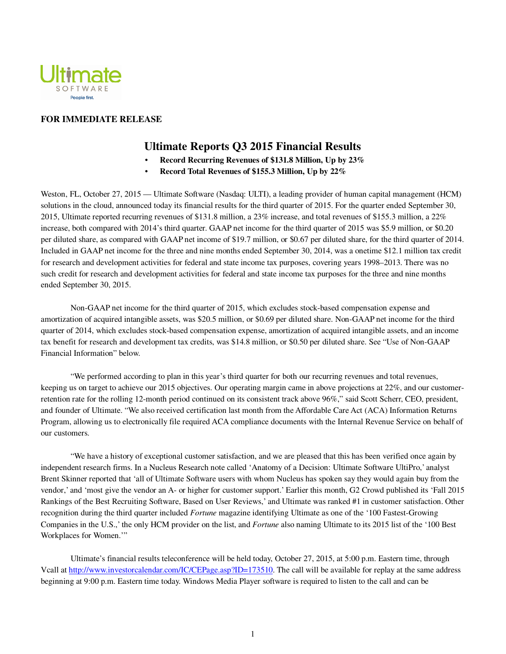

### **FOR IMMEDIATE RELEASE**

# **Ultimate Reports Q3 2015 Financial Results**

- **Record Recurring Revenues of \$131.8 Million, Up by 23%**
- **Record Total Revenues of \$155.3 Million, Up by 22%**

Weston, FL, October 27, 2015 — Ultimate Software (Nasdaq: ULTI), a leading provider of human capital management (HCM) solutions in the cloud, announced today its financial results for the third quarter of 2015. For the quarter ended September 30, 2015, Ultimate reported recurring revenues of \$131.8 million, a 23% increase, and total revenues of \$155.3 million, a 22% increase, both compared with 2014's third quarter. GAAP net income for the third quarter of 2015 was \$5.9 million, or \$0.20 per diluted share, as compared with GAAP net income of \$19.7 million, or \$0.67 per diluted share, for the third quarter of 2014. Included in GAAP net income for the three and nine months ended September 30, 2014, was a onetime \$12.1 million tax credit for research and development activities for federal and state income tax purposes, covering years 1998–2013. There was no such credit for research and development activities for federal and state income tax purposes for the three and nine months ended September 30, 2015.

Non-GAAP net income for the third quarter of 2015, which excludes stock-based compensation expense and amortization of acquired intangible assets, was \$20.5 million, or \$0.69 per diluted share. Non-GAAP net income for the third quarter of 2014, which excludes stock-based compensation expense, amortization of acquired intangible assets, and an income tax benefit for research and development tax credits, was \$14.8 million, or \$0.50 per diluted share. See "Use of Non-GAAP Financial Information" below.

"We performed according to plan in this year's third quarter for both our recurring revenues and total revenues, keeping us on target to achieve our 2015 objectives. Our operating margin came in above projections at 22%, and our customerretention rate for the rolling 12-month period continued on its consistent track above 96%," said Scott Scherr, CEO, president, and founder of Ultimate. "We also received certification last month from the Affordable Care Act (ACA) Information Returns Program, allowing us to electronically file required ACA compliance documents with the Internal Revenue Service on behalf of our customers.

"We have a history of exceptional customer satisfaction, and we are pleased that this has been verified once again by independent research firms. In a Nucleus Research note called 'Anatomy of a Decision: Ultimate Software UltiPro,' analyst Brent Skinner reported that 'all of Ultimate Software users with whom Nucleus has spoken say they would again buy from the vendor,' and 'most give the vendor an A- or higher for customer support.' Earlier this month, G2 Crowd published its 'Fall 2015 Rankings of the Best Recruiting Software, Based on User Reviews,' and Ultimate was ranked #1 in customer satisfaction. Other recognition during the third quarter included *Fortune* magazine identifying Ultimate as one of the '100 Fastest-Growing Companies in the U.S.,' the only HCM provider on the list, and *Fortune* also naming Ultimate to its 2015 list of the '100 Best Workplaces for Women.'"

Ultimate's financial results teleconference will be held today, October 27, 2015, at 5:00 p.m. Eastern time, through Vcall at http://www.investorcalendar.com/IC/CEPage.asp?ID=173510. The call will be available for replay at the same address beginning at 9:00 p.m. Eastern time today. Windows Media Player software is required to listen to the call and can be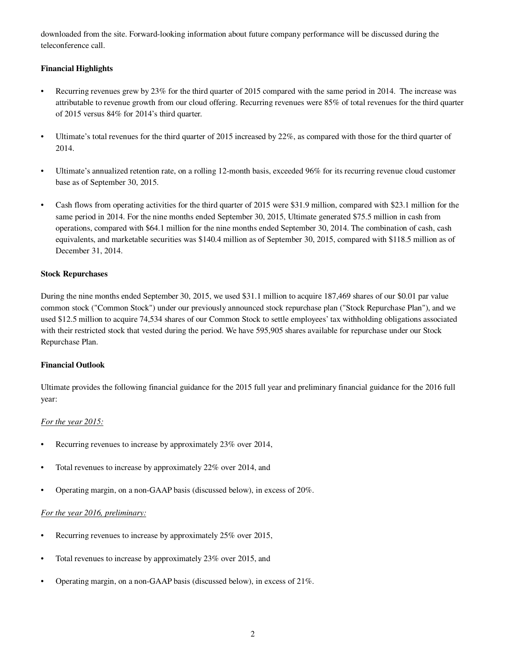downloaded from the site. Forward-looking information about future company performance will be discussed during the teleconference call.

## **Financial Highlights**

- Recurring revenues grew by 23% for the third quarter of 2015 compared with the same period in 2014. The increase was attributable to revenue growth from our cloud offering. Recurring revenues were 85% of total revenues for the third quarter of 2015 versus 84% for 2014's third quarter.
- Ultimate's total revenues for the third quarter of 2015 increased by 22%, as compared with those for the third quarter of 2014.
- Ultimate's annualized retention rate, on a rolling 12-month basis, exceeded 96% for its recurring revenue cloud customer base as of September 30, 2015.
- Cash flows from operating activities for the third quarter of 2015 were \$31.9 million, compared with \$23.1 million for the same period in 2014. For the nine months ended September 30, 2015, Ultimate generated \$75.5 million in cash from operations, compared with \$64.1 million for the nine months ended September 30, 2014. The combination of cash, cash equivalents, and marketable securities was \$140.4 million as of September 30, 2015, compared with \$118.5 million as of December 31, 2014.

### **Stock Repurchases**

During the nine months ended September 30, 2015, we used \$31.1 million to acquire 187,469 shares of our \$0.01 par value common stock ("Common Stock") under our previously announced stock repurchase plan ("Stock Repurchase Plan"), and we used \$12.5 million to acquire 74,534 shares of our Common Stock to settle employees' tax withholding obligations associated with their restricted stock that vested during the period. We have 595,905 shares available for repurchase under our Stock Repurchase Plan.

### **Financial Outlook**

Ultimate provides the following financial guidance for the 2015 full year and preliminary financial guidance for the 2016 full year:

### *For the year 2015:*

- Recurring revenues to increase by approximately 23% over 2014,
- Total revenues to increase by approximately 22% over 2014, and
- Operating margin, on a non-GAAP basis (discussed below), in excess of 20%.

# *For the year 2016, preliminary:*

- Recurring revenues to increase by approximately 25% over 2015,
- Total revenues to increase by approximately 23% over 2015, and
- Operating margin, on a non-GAAP basis (discussed below), in excess of 21%.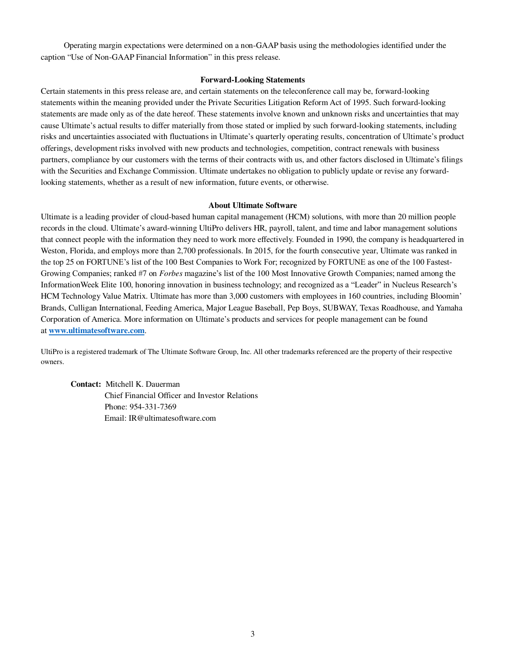Operating margin expectations were determined on a non-GAAP basis using the methodologies identified under the caption "Use of Non-GAAP Financial Information" in this press release.

#### **Forward-Looking Statements**

Certain statements in this press release are, and certain statements on the teleconference call may be, forward-looking statements within the meaning provided under the Private Securities Litigation Reform Act of 1995. Such forward-looking statements are made only as of the date hereof. These statements involve known and unknown risks and uncertainties that may cause Ultimate's actual results to differ materially from those stated or implied by such forward-looking statements, including risks and uncertainties associated with fluctuations in Ultimate's quarterly operating results, concentration of Ultimate's product offerings, development risks involved with new products and technologies, competition, contract renewals with business partners, compliance by our customers with the terms of their contracts with us, and other factors disclosed in Ultimate's filings with the Securities and Exchange Commission. Ultimate undertakes no obligation to publicly update or revise any forwardlooking statements, whether as a result of new information, future events, or otherwise.

#### **About Ultimate Software**

Ultimate is a leading provider of cloud-based human capital management (HCM) solutions, with more than 20 million people records in the cloud. Ultimate's award-winning UltiPro delivers HR, payroll, talent, and time and labor management solutions that connect people with the information they need to work more effectively. Founded in 1990, the company is headquartered in Weston, Florida, and employs more than 2,700 professionals. In 2015, for the fourth consecutive year, Ultimate was ranked in the top 25 on FORTUNE's list of the 100 Best Companies to Work For; recognized by FORTUNE as one of the 100 Fastest-Growing Companies; ranked #7 on *Forbes* magazine's list of the 100 Most Innovative Growth Companies; named among the InformationWeek Elite 100, honoring innovation in business technology; and recognized as a "Leader" in Nucleus Research's HCM Technology Value Matrix. Ultimate has more than 3,000 customers with employees in 160 countries, including Bloomin' Brands, Culligan International, Feeding America, Major League Baseball, Pep Boys, SUBWAY, Texas Roadhouse, and Yamaha Corporation of America. More information on Ultimate's products and services for people management can be found at **www.ultimatesoftware.com**.

UltiPro is a registered trademark of The Ultimate Software Group, Inc. All other trademarks referenced are the property of their respective owners.

**Contact:** Mitchell K. Dauerman Chief Financial Officer and Investor Relations Phone: 954-331-7369 Email: IR@ultimatesoftware.com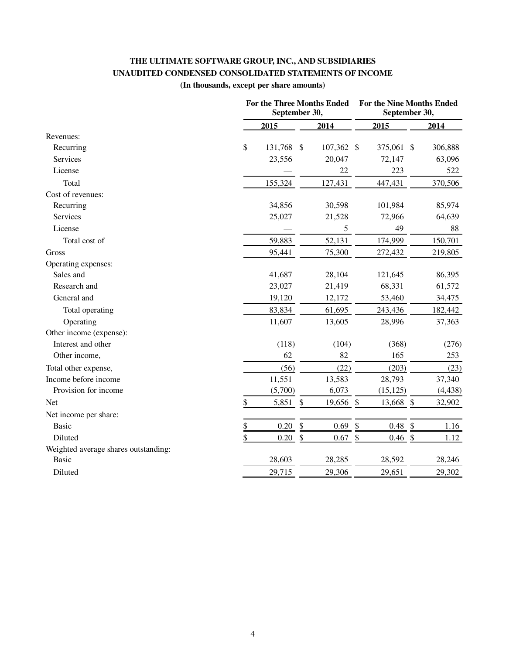# **THE ULTIMATE SOFTWARE GROUP, INC., AND SUBSIDIARIES UNAUDITED CONDENSED CONSOLIDATED STATEMENTS OF INCOME**

# **(In thousands, except per share amounts)**

|                                      | <b>For the Three Months Ended</b><br>September 30, |                           |            |               | <b>For the Nine Months Ended</b><br>September 30, |                           |          |  |
|--------------------------------------|----------------------------------------------------|---------------------------|------------|---------------|---------------------------------------------------|---------------------------|----------|--|
|                                      | 2015                                               |                           | 2014       |               | 2015                                              |                           | 2014     |  |
| Revenues:                            |                                                    |                           |            |               |                                                   |                           |          |  |
| Recurring                            | \$<br>131,768 \$                                   |                           | 107,362 \$ |               | 375,061 \$                                        |                           | 306,888  |  |
| Services                             | 23,556                                             |                           | 20,047     |               | 72,147                                            |                           | 63,096   |  |
| License                              |                                                    |                           | 22         |               | 223                                               |                           | 522      |  |
| Total                                | 155,324                                            |                           | 127,431    |               | 447,431                                           |                           | 370,506  |  |
| Cost of revenues:                    |                                                    |                           |            |               |                                                   |                           |          |  |
| Recurring                            | 34,856                                             |                           | 30,598     |               | 101,984                                           |                           | 85,974   |  |
| Services                             | 25,027                                             |                           | 21,528     |               | 72,966                                            |                           | 64,639   |  |
| License                              |                                                    |                           | 5          |               | 49                                                |                           | 88       |  |
| Total cost of                        | 59,883                                             |                           | 52,131     |               | 174,999                                           |                           | 150,701  |  |
| Gross                                | 95,441                                             |                           | 75,300     |               | 272,432                                           |                           | 219,805  |  |
| Operating expenses:                  |                                                    |                           |            |               |                                                   |                           |          |  |
| Sales and                            | 41,687                                             |                           | 28,104     |               | 121,645                                           |                           | 86,395   |  |
| Research and                         | 23,027                                             |                           | 21,419     |               | 68,331                                            |                           | 61,572   |  |
| General and                          | 19,120                                             |                           | 12,172     |               | 53,460                                            |                           | 34,475   |  |
| Total operating                      | 83,834                                             |                           | 61,695     |               | 243,436                                           |                           | 182,442  |  |
| Operating                            | 11,607                                             |                           | 13,605     |               | 28,996                                            |                           | 37,363   |  |
| Other income (expense):              |                                                    |                           |            |               |                                                   |                           |          |  |
| Interest and other                   | (118)                                              |                           | (104)      |               | (368)                                             |                           | (276)    |  |
| Other income,                        | 62                                                 |                           | 82         |               | 165                                               |                           | 253      |  |
| Total other expense,                 | (56)                                               |                           | (22)       |               | (203)                                             |                           | (23)     |  |
| Income before income                 | 11,551                                             |                           | 13,583     |               | 28,793                                            |                           | 37,340   |  |
| Provision for income                 | (5,700)                                            |                           | 6,073      |               | (15, 125)                                         |                           | (4, 438) |  |
| Net                                  | \$<br>5,851                                        | $\boldsymbol{\mathsf{S}}$ | 19,656 \$  |               | 13,668                                            | $\boldsymbol{\mathsf{S}}$ | 32,902   |  |
| Net income per share:                |                                                    |                           |            |               |                                                   |                           |          |  |
| <b>Basic</b>                         | \$<br>0.20                                         | $\mathcal{S}$             | 0.69       | \$            | 0.48                                              | $\mathcal{S}$             | 1.16     |  |
| Diluted                              | 0.20                                               | $\frac{1}{2}$             | 0.67       | $\frac{1}{2}$ | 0.46                                              | $\frac{1}{2}$             | 1.12     |  |
| Weighted average shares outstanding: |                                                    |                           |            |               |                                                   |                           |          |  |
| <b>Basic</b>                         | 28,603                                             |                           | 28,285     |               | 28,592                                            |                           | 28,246   |  |
| Diluted                              | 29,715                                             |                           | 29,306     |               | 29,651                                            |                           | 29,302   |  |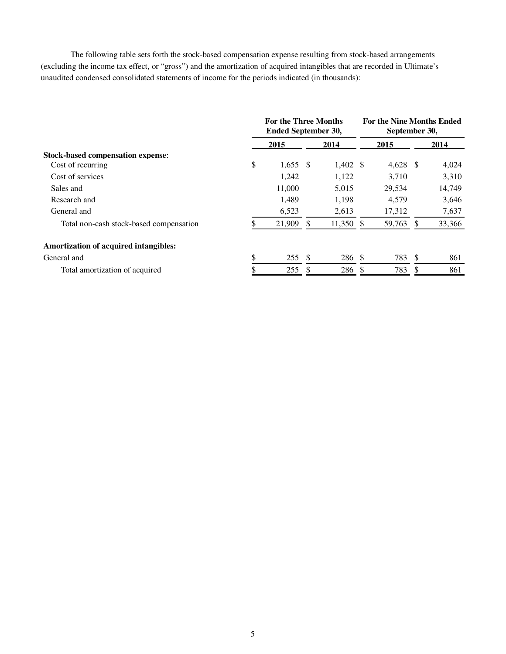The following table sets forth the stock-based compensation expense resulting from stock-based arrangements (excluding the income tax effect, or "gross") and the amortization of acquired intangibles that are recorded in Ultimate's unaudited condensed consolidated statements of income for the periods indicated (in thousands):

|                                          | <b>For the Three Months</b><br><b>Ended September 30,</b> |    |                     | <b>For the Nine Months Ended</b><br>September 30, |            |               |        |
|------------------------------------------|-----------------------------------------------------------|----|---------------------|---------------------------------------------------|------------|---------------|--------|
|                                          | 2015                                                      |    | 2014                |                                                   | 2015       |               | 2014   |
| <b>Stock-based compensation expense:</b> |                                                           |    |                     |                                                   |            |               |        |
| Cost of recurring                        | \$<br>$1,655$ \$                                          |    | $1,402 \text{ }$ \$ |                                                   | $4,628$ \$ |               | 4,024  |
| Cost of services                         | 1,242                                                     |    | 1,122               |                                                   | 3.710      |               | 3,310  |
| Sales and                                | 11,000                                                    |    | 5,015               |                                                   | 29.534     |               | 14,749 |
| Research and                             | 1.489                                                     |    | 1,198               |                                                   | 4.579      |               | 3,646  |
| General and                              | 6,523                                                     |    | 2,613               |                                                   | 17,312     |               | 7,637  |
| Total non-cash stock-based compensation  | 21,909                                                    |    | 11,350              |                                                   | 59,763     |               | 33,366 |
| Amortization of acquired intangibles:    |                                                           |    |                     |                                                   |            |               |        |
| General and                              | 255                                                       | -S | 286 \$              |                                                   | 783        | <sup>\$</sup> | 861    |
| Total amortization of acquired           | 255                                                       |    | 286                 |                                                   | 783        |               | 861    |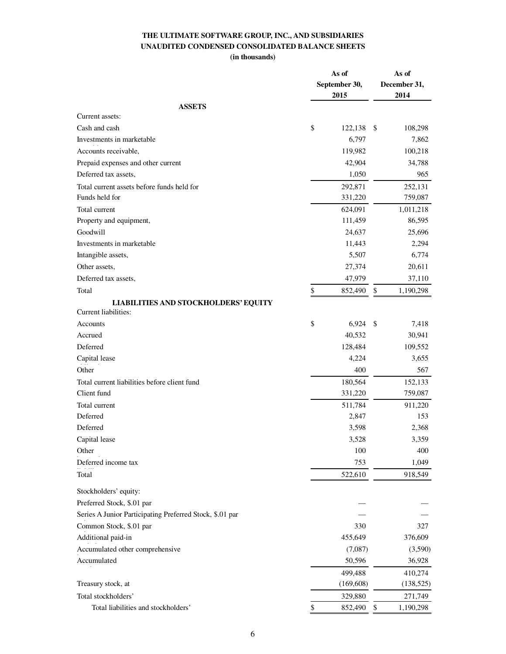# **THE ULTIMATE SOFTWARE GROUP, INC., AND SUBSIDIARIES UNAUDITED CONDENSED CONSOLIDATED BALANCE SHEETS (in thousands)**

|                                                          | As of<br>September 30,<br>2015 | As of<br>December 31,<br>2014 |            |  |
|----------------------------------------------------------|--------------------------------|-------------------------------|------------|--|
| <b>ASSETS</b>                                            |                                |                               |            |  |
| Current assets:                                          |                                |                               |            |  |
| Cash and cash                                            | \$<br>122,138                  | \$                            | 108,298    |  |
| Investments in marketable                                | 6,797                          |                               | 7,862      |  |
| Accounts receivable,                                     | 119,982                        |                               | 100,218    |  |
| Prepaid expenses and other current                       | 42,904                         |                               | 34,788     |  |
| Deferred tax assets,                                     | 1,050                          |                               | 965        |  |
| Total current assets before funds held for               | 292,871                        |                               | 252,131    |  |
| Funds held for                                           | 331,220                        |                               | 759,087    |  |
| Total current                                            | 624,091                        |                               | 1,011,218  |  |
| Property and equipment,                                  | 111,459                        |                               | 86,595     |  |
| Goodwill                                                 | 24,637                         |                               | 25,696     |  |
| Investments in marketable                                | 11,443                         |                               | 2,294      |  |
| Intangible assets,                                       | 5,507                          |                               | 6,774      |  |
| Other assets,                                            | 27,374                         |                               | 20,611     |  |
| Deferred tax assets,                                     | 47,979                         |                               | 37,110     |  |
| Total                                                    | \$<br>852,490                  | \$                            | 1,190,298  |  |
| <b>LIABILITIES AND STOCKHOLDERS' EQUITY</b>              |                                |                               |            |  |
| Current liabilities:                                     |                                |                               |            |  |
| Accounts                                                 | \$<br>6,924                    | \$                            | 7,418      |  |
| Accrued                                                  | 40,532                         |                               | 30,941     |  |
| Deferred                                                 | 128,484                        |                               | 109,552    |  |
| Capital lease                                            | 4,224                          |                               | 3,655      |  |
| Other                                                    | 400                            |                               | 567        |  |
| Total current liabilities before client fund             | 180,564                        |                               | 152,133    |  |
| Client fund                                              | 331,220                        |                               | 759,087    |  |
| Total current                                            | 511,784                        |                               | 911,220    |  |
| Deferred                                                 | 2,847                          |                               | 153        |  |
| Deferred                                                 | 3,598                          |                               | 2,368      |  |
| Capital lease                                            | 3,528                          |                               | 3,359      |  |
| Other                                                    | 100                            |                               | 400        |  |
| Deferred income tax                                      | 753                            |                               | 1,049      |  |
| Total                                                    | 522,610                        |                               | 918,549    |  |
| Stockholders' equity:                                    |                                |                               |            |  |
| Preferred Stock, \$.01 par                               |                                |                               |            |  |
| Series A Junior Participating Preferred Stock, \$.01 par |                                |                               |            |  |
| Common Stock, \$.01 par                                  | 330                            |                               | 327        |  |
| Additional paid-in                                       | 455,649                        |                               | 376,609    |  |
| Accumulated other comprehensive                          | (7,087)                        |                               | (3,590)    |  |
| Accumulated                                              | 50,596                         |                               | 36,928     |  |
|                                                          | 499,488                        |                               | 410,274    |  |
| Treasury stock, at                                       | (169, 608)                     |                               | (138, 525) |  |
| Total stockholders'                                      | 329,880                        |                               | 271,749    |  |
| Total liabilities and stockholders'                      | \$<br>852,490                  | \$                            | 1,190,298  |  |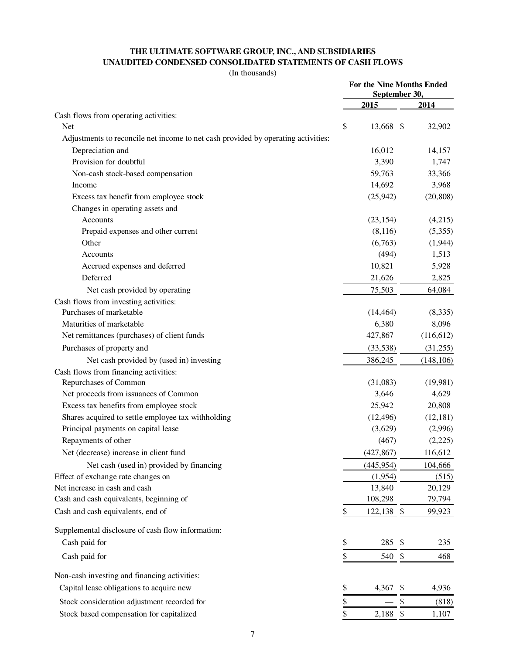# **THE ULTIMATE SOFTWARE GROUP, INC., AND SUBSIDIARIES UNAUDITED CONDENSED CONSOLIDATED STATEMENTS OF CASH FLOWS**

(In thousands)

|                                                                                   | For the Nine Months Ended<br>September 30, |            |                           |            |  |
|-----------------------------------------------------------------------------------|--------------------------------------------|------------|---------------------------|------------|--|
|                                                                                   |                                            | 2015       |                           | 2014       |  |
| Cash flows from operating activities:                                             |                                            |            |                           |            |  |
| <b>Net</b>                                                                        | \$                                         | 13,668 \$  |                           | 32,902     |  |
| Adjustments to reconcile net income to net cash provided by operating activities: |                                            |            |                           |            |  |
| Depreciation and                                                                  |                                            | 16,012     |                           | 14,157     |  |
| Provision for doubtful                                                            |                                            | 3,390      |                           | 1,747      |  |
| Non-cash stock-based compensation                                                 |                                            | 59,763     |                           | 33,366     |  |
| Income                                                                            |                                            | 14,692     |                           | 3,968      |  |
| Excess tax benefit from employee stock                                            |                                            | (25, 942)  |                           | (20, 808)  |  |
| Changes in operating assets and                                                   |                                            |            |                           |            |  |
| Accounts                                                                          |                                            | (23, 154)  |                           | (4,215)    |  |
| Prepaid expenses and other current                                                |                                            | (8,116)    |                           | (5,355)    |  |
| Other                                                                             |                                            | (6,763)    |                           | (1,944)    |  |
| Accounts                                                                          |                                            | (494)      |                           | 1,513      |  |
| Accrued expenses and deferred                                                     |                                            | 10,821     |                           | 5,928      |  |
| Deferred                                                                          |                                            | 21,626     |                           | 2,825      |  |
| Net cash provided by operating                                                    |                                            | 75,503     |                           | 64,084     |  |
| Cash flows from investing activities:                                             |                                            |            |                           |            |  |
| Purchases of marketable                                                           |                                            | (14, 464)  |                           | (8,335)    |  |
| Maturities of marketable                                                          |                                            | 6,380      |                           | 8,096      |  |
| Net remittances (purchases) of client funds                                       |                                            | 427,867    |                           | (116, 612) |  |
| Purchases of property and                                                         |                                            | (33,538)   |                           | (31,255)   |  |
| Net cash provided by (used in) investing                                          |                                            | 386,245    |                           | (148, 106) |  |
| Cash flows from financing activities:                                             |                                            |            |                           |            |  |
| Repurchases of Common                                                             |                                            | (31,083)   |                           | (19,981)   |  |
| Net proceeds from issuances of Common                                             |                                            | 3,646      |                           | 4,629      |  |
| Excess tax benefits from employee stock                                           |                                            | 25,942     |                           | 20,808     |  |
| Shares acquired to settle employee tax withholding                                |                                            | (12, 496)  |                           | (12, 181)  |  |
| Principal payments on capital lease                                               |                                            | (3,629)    |                           | (2,996)    |  |
| Repayments of other                                                               |                                            | (467)      |                           | (2,225)    |  |
| Net (decrease) increase in client fund                                            |                                            | (427, 867) |                           | 116,612    |  |
| Net cash (used in) provided by financing                                          |                                            | (445, 954) |                           | 104,666    |  |
| Effect of exchange rate changes on                                                |                                            | (1,954)    |                           | (515)      |  |
| Net increase in cash and cash                                                     |                                            | 13,840     |                           | 20,129     |  |
| Cash and cash equivalents, beginning of                                           |                                            | 108,298    |                           | 79,794     |  |
| Cash and cash equivalents, end of                                                 | \$                                         | 122,138 \$ |                           | 99,923     |  |
| Supplemental disclosure of cash flow information:                                 |                                            |            |                           |            |  |
| Cash paid for                                                                     | \$                                         | 285        | S                         | 235        |  |
| Cash paid for                                                                     | \$                                         | 540        | $\boldsymbol{\mathsf{S}}$ | 468        |  |
| Non-cash investing and financing activities:                                      |                                            |            |                           |            |  |
| Capital lease obligations to acquire new                                          | \$                                         | 4,367      | S                         | 4,936      |  |
| Stock consideration adjustment recorded for                                       | \$                                         |            | \$                        | (818)      |  |
| Stock based compensation for capitalized                                          | \$                                         | 2,188      | $\boldsymbol{\mathsf{S}}$ | 1,107      |  |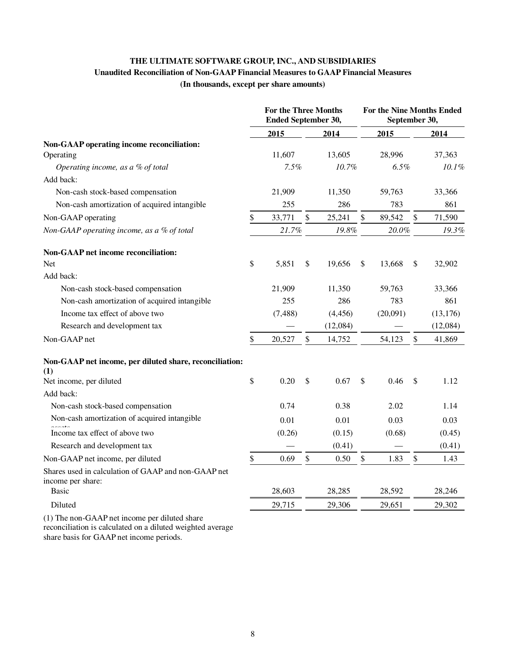# **THE ULTIMATE SOFTWARE GROUP, INC., AND SUBSIDIARIES Unaudited Reconciliation of Non-GAAP Financial Measures to GAAP Financial Measures (In thousands, except per share amounts)**

|                                                                          | <b>For the Three Months</b><br><b>Ended September 30,</b> |              |          | For the Nine Months Ended<br>September 30, |          |      |           |
|--------------------------------------------------------------------------|-----------------------------------------------------------|--------------|----------|--------------------------------------------|----------|------|-----------|
|                                                                          | 2015                                                      |              | 2014     |                                            | 2015     |      | 2014      |
| Non-GAAP operating income reconciliation:<br>Operating                   | 11,607                                                    |              | 13,605   |                                            | 28,996   |      | 37,363    |
| Operating income, as a % of total                                        | 7.5%                                                      |              | 10.7%    |                                            | 6.5%     |      | 10.1%     |
| Add back:                                                                |                                                           |              |          |                                            |          |      |           |
| Non-cash stock-based compensation                                        | 21,909                                                    |              | 11,350   |                                            | 59,763   |      | 33,366    |
| Non-cash amortization of acquired intangible                             | 255                                                       |              | 286      |                                            | 783      |      | 861       |
| Non-GAAP operating                                                       | \$<br>33,771                                              | $\mathbb{S}$ | 25,241   | \$                                         | 89,542   | $\$$ | 71,590    |
| Non-GAAP operating income, as a % of total                               | 21.7%                                                     |              | 19.8%    |                                            | 20.0%    |      | 19.3%     |
| <b>Non-GAAP net income reconciliation:</b>                               |                                                           |              |          |                                            |          |      |           |
| <b>Net</b>                                                               | \$<br>5,851                                               | \$           | 19,656   | \$                                         | 13,668   | \$   | 32,902    |
| Add back:                                                                |                                                           |              |          |                                            |          |      |           |
| Non-cash stock-based compensation                                        | 21,909                                                    |              | 11,350   |                                            | 59,763   |      | 33,366    |
| Non-cash amortization of acquired intangible                             | 255                                                       |              | 286      |                                            | 783      |      | 861       |
| Income tax effect of above two                                           | (7, 488)                                                  |              | (4, 456) |                                            | (20,091) |      | (13, 176) |
| Research and development tax                                             |                                                           |              | (12,084) |                                            |          |      | (12,084)  |
| Non-GAAP net                                                             | \$<br>20,527                                              | \$           | 14,752   |                                            | 54,123   | \$   | 41,869    |
| Non-GAAP net income, per diluted share, reconciliation:<br>(1)           |                                                           |              |          |                                            |          |      |           |
| Net income, per diluted                                                  | \$<br>0.20                                                | \$           | 0.67     | \$                                         | 0.46     | \$   | 1.12      |
| Add back:                                                                |                                                           |              |          |                                            |          |      |           |
| Non-cash stock-based compensation                                        | 0.74                                                      |              | 0.38     |                                            | 2.02     |      | 1.14      |
| Non-cash amortization of acquired intangible                             | 0.01                                                      |              | 0.01     |                                            | 0.03     |      | 0.03      |
| Income tax effect of above two                                           | (0.26)                                                    |              | (0.15)   |                                            | (0.68)   |      | (0.45)    |
| Research and development tax                                             |                                                           |              | (0.41)   |                                            |          |      | (0.41)    |
| Non-GAAP net income, per diluted                                         | \$<br>0.69                                                | \$           | 0.50     | \$                                         | 1.83     | $\$$ | 1.43      |
| Shares used in calculation of GAAP and non-GAAP net<br>income per share: |                                                           |              |          |                                            |          |      |           |
| Basic                                                                    | 28,603                                                    |              | 28,285   |                                            | 28,592   |      | 28,246    |
| Diluted                                                                  | 29,715                                                    |              | 29,306   |                                            | 29,651   |      | 29,302    |

(1) The non-GAAP net income per diluted share reconciliation is calculated on a diluted weighted average share basis for GAAP net income periods.